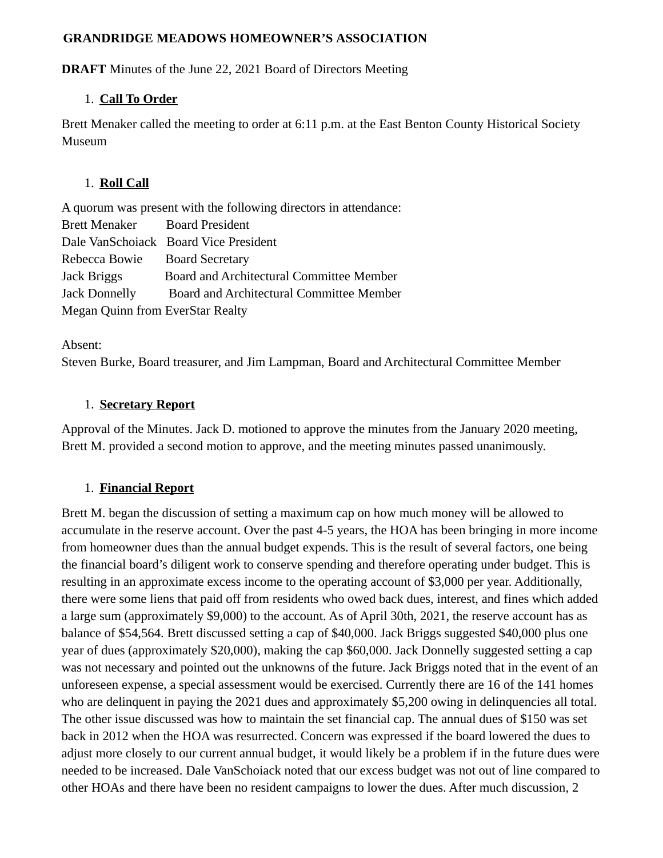#### **GRANDRIDGE MEADOWS HOMEOWNER'S ASSOCIATION**

**DRAFT** Minutes of the June 22, 2021 Board of Directors Meeting

### 1. **Call To Order**

Brett Menaker called the meeting to order at 6:11 p.m. at the East Benton County Historical Society Museum

### 1. **Roll Call**

A quorum was present with the following directors in attendance: Brett Menaker Board President Dale VanSchoiack Board Vice President Rebecca Bowie Board Secretary Jack Briggs Board and Architectural Committee Member Jack Donnelly Board and Architectural Committee Member Megan Quinn from EverStar Realty

Absent:

Steven Burke, Board treasurer, and Jim Lampman, Board and Architectural Committee Member

## 1. **Secretary Report**

Approval of the Minutes. Jack D. motioned to approve the minutes from the January 2020 meeting, Brett M. provided a second motion to approve, and the meeting minutes passed unanimously.

# 1. **Financial Report**

Brett M. began the discussion of setting a maximum cap on how much money will be allowed to accumulate in the reserve account. Over the past 4-5 years, the HOA has been bringing in more income from homeowner dues than the annual budget expends. This is the result of several factors, one being the financial board's diligent work to conserve spending and therefore operating under budget. This is resulting in an approximate excess income to the operating account of \$3,000 per year. Additionally, there were some liens that paid off from residents who owed back dues, interest, and fines which added a large sum (approximately \$9,000) to the account. As of April 30th, 2021, the reserve account has as balance of \$54,564. Brett discussed setting a cap of \$40,000. Jack Briggs suggested \$40,000 plus one year of dues (approximately \$20,000), making the cap \$60,000. Jack Donnelly suggested setting a cap was not necessary and pointed out the unknowns of the future. Jack Briggs noted that in the event of an unforeseen expense, a special assessment would be exercised. Currently there are 16 of the 141 homes who are delinquent in paying the 2021 dues and approximately \$5,200 owing in delinquencies all total. The other issue discussed was how to maintain the set financial cap. The annual dues of \$150 was set back in 2012 when the HOA was resurrected. Concern was expressed if the board lowered the dues to adjust more closely to our current annual budget, it would likely be a problem if in the future dues were needed to be increased. Dale VanSchoiack noted that our excess budget was not out of line compared to other HOAs and there have been no resident campaigns to lower the dues. After much discussion, 2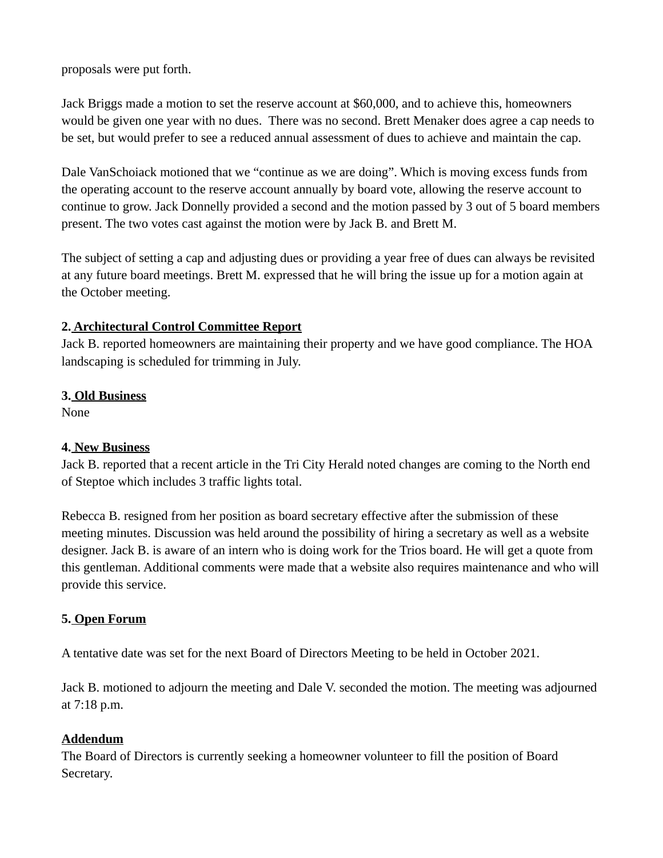proposals were put forth.

Jack Briggs made a motion to set the reserve account at \$60,000, and to achieve this, homeowners would be given one year with no dues. There was no second. Brett Menaker does agree a cap needs to be set, but would prefer to see a reduced annual assessment of dues to achieve and maintain the cap.

Dale VanSchoiack motioned that we "continue as we are doing". Which is moving excess funds from the operating account to the reserve account annually by board vote, allowing the reserve account to continue to grow. Jack Donnelly provided a second and the motion passed by 3 out of 5 board members present. The two votes cast against the motion were by Jack B. and Brett M.

The subject of setting a cap and adjusting dues or providing a year free of dues can always be revisited at any future board meetings. Brett M. expressed that he will bring the issue up for a motion again at the October meeting.

## **2. Architectural Control Committee Report**

Jack B. reported homeowners are maintaining their property and we have good compliance. The HOA landscaping is scheduled for trimming in July.

### **3. Old Business**

None

### **4. New Business**

Jack B. reported that a recent article in the Tri City Herald noted changes are coming to the North end of Steptoe which includes 3 traffic lights total.

Rebecca B. resigned from her position as board secretary effective after the submission of these meeting minutes. Discussion was held around the possibility of hiring a secretary as well as a website designer. Jack B. is aware of an intern who is doing work for the Trios board. He will get a quote from this gentleman. Additional comments were made that a website also requires maintenance and who will provide this service.

### **5. Open Forum**

A tentative date was set for the next Board of Directors Meeting to be held in October 2021.

Jack B. motioned to adjourn the meeting and Dale V. seconded the motion. The meeting was adjourned at 7:18 p.m.

### **Addendum**

The Board of Directors is currently seeking a homeowner volunteer to fill the position of Board Secretary.